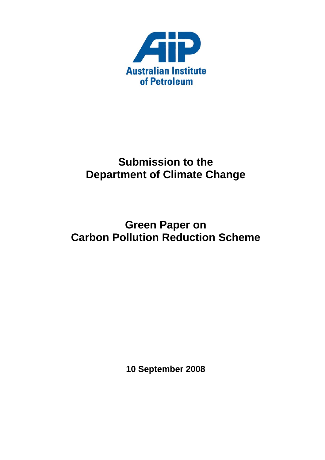

# **Submission to the Department of Climate Change**

# **Green Paper on Carbon Pollution Reduction Scheme**

**10 September 2008**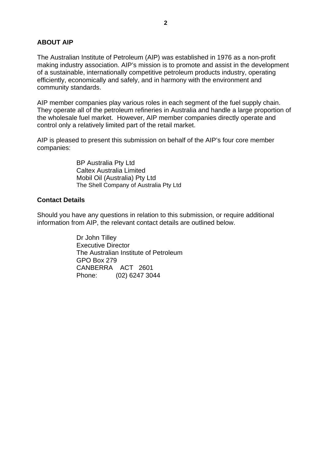# <span id="page-1-0"></span>**ABOUT AIP**

The Australian Institute of Petroleum (AIP) was established in 1976 as a non-profit making industry association. AIP's mission is to promote and assist in the development of a sustainable, internationally competitive petroleum products industry, operating efficiently, economically and safely, and in harmony with the environment and community standards.

AIP member companies play various roles in each segment of the fuel supply chain. They operate all of the petroleum refineries in Australia and handle a large proportion of the wholesale fuel market. However, AIP member companies directly operate and control only a relatively limited part of the retail market.

AIP is pleased to present this submission on behalf of the AIP's four core member companies:

> BP Australia Pty Ltd Caltex Australia Limited Mobil Oil (Australia) Pty Ltd The Shell Company of Australia Pty Ltd

# **Contact Details**

Should you have any questions in relation to this submission, or require additional information from AIP, the relevant contact details are outlined below.

> Dr John Tilley Executive Director The Australian Institute of Petroleum GPO Box 279 CANBERRA ACT 2601 Phone: (02) 6247 3044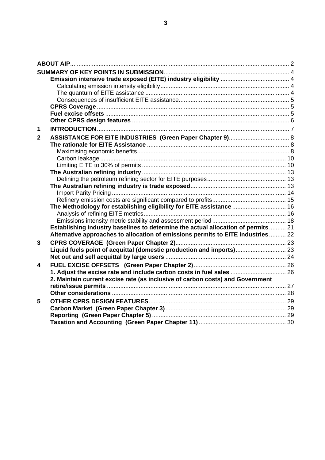| 1                       |                                                                                   |  |
|-------------------------|-----------------------------------------------------------------------------------|--|
| $\overline{2}$          |                                                                                   |  |
|                         |                                                                                   |  |
|                         |                                                                                   |  |
|                         |                                                                                   |  |
|                         |                                                                                   |  |
|                         |                                                                                   |  |
|                         |                                                                                   |  |
|                         |                                                                                   |  |
|                         |                                                                                   |  |
|                         |                                                                                   |  |
|                         | The Methodology for establishing eligibility for EITE assistance  16              |  |
|                         |                                                                                   |  |
|                         |                                                                                   |  |
|                         | Establishing industry baselines to determine the actual allocation of permits  21 |  |
|                         | Alternative approaches to allocation of emissions permits to EITE industries  22  |  |
| 3                       |                                                                                   |  |
|                         | Liquid fuels point of acquittal (domestic production and imports) 23              |  |
|                         |                                                                                   |  |
| $\overline{\mathbf{4}}$ |                                                                                   |  |
|                         | 1. Adjust the excise rate and include carbon costs in fuel sales  26              |  |
|                         | 2. Maintain current excise rate (as inclusive of carbon costs) and Government     |  |
|                         |                                                                                   |  |
|                         |                                                                                   |  |
| 5                       |                                                                                   |  |
|                         |                                                                                   |  |
|                         |                                                                                   |  |
|                         |                                                                                   |  |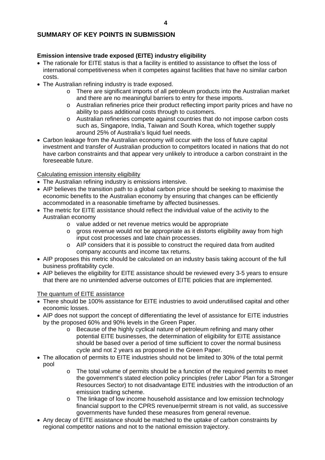# <span id="page-3-0"></span>**SUMMARY OF KEY POINTS IN SUBMISSION**

# **Emission intensive trade exposed (EITE) industry eligibility**

- The rationale for EITE status is that a facility is entitled to assistance to offset the loss of international competitiveness when it competes against facilities that have no similar carbon costs.
- The Australian refining industry is trade exposed.
	- o There are significant imports of all petroleum products into the Australian market and there are no meaningful barriers to entry for these imports.
	- o Australian refineries price their product reflecting import parity prices and have no ability to pass additional costs through to customers.
	- o Australian refineries compete against countries that do not impose carbon costs such as, Singapore, India, Taiwan and South Korea, which together supply around 25% of Australia's liquid fuel needs.
- Carbon leakage from the Australian economy will occur with the loss of future capital investment and transfer of Australian production to competitors located in nations that do not have carbon constraints and that appear very unlikely to introduce a carbon constraint in the foreseeable future.

# Calculating emission intensity eligibility

- The Australian refining industry is emissions intensive.
- AIP believes the transition path to a global carbon price should be seeking to maximise the economic benefits to the Australian economy by ensuring that changes can be efficiently accommodated in a reasonable timeframe by affected businesses.
- The metric for EITE assistance should reflect the individual value of the activity to the Australian economy
	- o value added or net revenue metrics would be appropriate
	- o gross revenue would not be appropriate as it distorts eligibility away from high input cost processes and late chain processes.
	- $\circ$  AIP considers that it is possible to construct the required data from audited company accounts and income tax returns.
- AIP proposes this metric should be calculated on an industry basis taking account of the full business profitability cycle.
- AIP believes the eligibility for EITE assistance should be reviewed every 3-5 years to ensure that there are no unintended adverse outcomes of EITE policies that are implemented.

# The quantum of EITE assistance

- There should be 100% assistance for EITE industries to avoid underutilised capital and other economic losses.
- AIP does not support the concept of differentiating the level of assistance for EITE industries by the proposed 60% and 90% levels in the Green Paper.
	- o Because of the highly cyclical nature of petroleum refining and many other potential EITE businesses, the determination of eligibility for EITE assistance should be based over a period of time sufficient to cover the normal business cycle and not 2 years as proposed in the Green Paper.
- The allocation of permits to EITE industries should not be limited to 30% of the total permit pool
	- o The total volume of permits should be a function of the required permits to meet the government's stated election policy principles (refer Labor' Plan for a Stronger Resources Sector) to not disadvantage EITE industries with the introduction of an emission trading scheme.
	- o The linkage of low income household assistance and low emission technology financial support to the CPRS revenue/permit stream is not valid, as successive governments have funded these measures from general revenue.
- Any decay of EITE assistance should be matched to the uptake of carbon constraints by regional competitor nations and not to the national emission trajectory.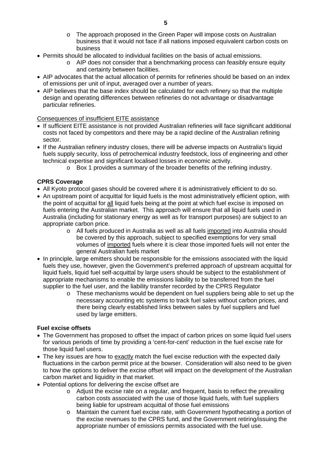- o The approach proposed in the Green Paper will impose costs on Australian business that it would not face if all nations imposed equivalent carbon costs on business
- <span id="page-4-0"></span>• Permits should be allocated to individual facilities on the basis of actual emissions.
	- $\circ$  AIP does not consider that a benchmarking process can feasibly ensure equity and certainty between facilities.
- AIP advocates that the actual allocation of permits for refineries should be based on an index of emissions per unit of input, averaged over a number of years.
- AIP believes that the base index should be calculated for each refinery so that the multiple design and operating differences between refineries do not advantage or disadvantage particular refineries.

#### Consequences of insufficient EITE assistance

- If sufficient EITE assistance is not provided Australian refineries will face significant additional costs not faced by competitors and there may be a rapid decline of the Australian refining sector.
- If the Australian refinery industry closes, there will be adverse impacts on Australia's liquid fuels supply security, loss of petrochemical industry feedstock, loss of engineering and other technical expertise and significant localised losses in economic activity.
	- o Box 1 provides a summary of the broader benefits of the refining industry.

#### **CPRS Coverage**

- All Kyoto protocol gases should be covered where it is administratively efficient to do so.
- An upstream point of acquittal for liquid fuels is the most administratively efficient option, with the point of acquittal for all liquid fuels being at the point at which fuel excise is imposed on fuels entering the Australian market. This approach will ensure that all liquid fuels used in Australia (including for stationary energy as well as for transport purposes) are subject to an appropriate carbon price.
	- o All fuels produced in Australia as well as all fuels imported into Australia should be covered by this approach, subject to specified exemptions for very small volumes of imported fuels where it is clear those imported fuels will not enter the general Australian fuels market
- In principle, large emitters should be responsible for the emissions associated with the liquid fuels they use, however, given the Government's preferred approach of upstream acquittal for liquid fuels, liquid fuel self-acquittal by large users should be subject to the establishment of appropriate mechanisms to enable the emissions liability to be transferred from the fuel supplier to the fuel user, and the liability transfer recorded by the CPRS Regulator
	- o These mechanisms would be dependent on fuel suppliers being able to set up the necessary accounting etc systems to track fuel sales without carbon prices, and there being clearly established links between sales by fuel suppliers and fuel used by large emitters.

#### **Fuel excise offsets**

- The Government has proposed to offset the impact of carbon prices on some liquid fuel users for various periods of time by providing a 'cent-for-cent' reduction in the fuel excise rate for those liquid fuel users.
- The key issues are how to exactly match the fuel excise reduction with the expected daily fluctuations in the carbon permit price at the bowser. Consideration will also need to be given to how the options to deliver the excise offset will impact on the development of the Australian carbon market and liquidity in that market.
- Potential options for delivering the excise offset are
	- o Adjust the excise rate on a regular, and frequent, basis to reflect the prevailing carbon costs associated with the use of those liquid fuels, with fuel suppliers being liable for upstream acquittal of those fuel emissions
	- o Maintain the current fuel excise rate, with Government hypothecating a portion of the excise revenues to the CPRS fund, and the Government retiring/issuing the appropriate number of emissions permits associated with the fuel use.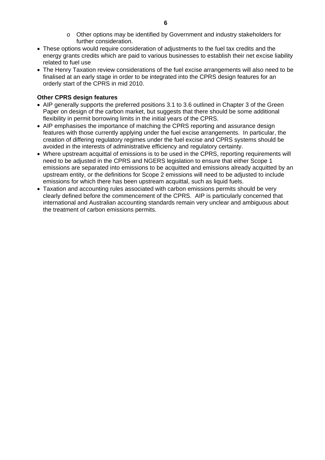- o Other options may be identified by Government and industry stakeholders for further consideration.
- <span id="page-5-0"></span>• These options would require consideration of adjustments to the fuel tax credits and the energy grants credits which are paid to various businesses to establish their net excise liability related to fuel use
- The Henry Taxation review considerations of the fuel excise arrangements will also need to be finalised at an early stage in order to be integrated into the CPRS design features for an orderly start of the CPRS in mid 2010.

# **Other CPRS design features**

- AIP generally supports the preferred positions 3.1 to 3.6 outlined in Chapter 3 of the Green Paper on design of the carbon market, but suggests that there should be some additional flexibility in permit borrowing limits in the initial years of the CPRS.
- AIP emphasises the importance of matching the CPRS reporting and assurance design features with those currently applying under the fuel excise arrangements. In particular, the creation of differing regulatory regimes under the fuel excise and CPRS systems should be avoided in the interests of administrative efficiency and regulatory certainty.
- Where upstream acquittal of emissions is to be used in the CPRS, reporting requirements will need to be adjusted in the CPRS and NGERS legislation to ensure that either Scope 1 emissions are separated into emissions to be acquitted and emissions already acquitted by an upstream entity, or the definitions for Scope 2 emissions will need to be adjusted to include emissions for which there has been upstream acquittal, such as liquid fuels.
- Taxation and accounting rules associated with carbon emissions permits should be very clearly defined before the commencement of the CPRS. AIP is particularly concerned that international and Australian accounting standards remain very unclear and ambiguous about the treatment of carbon emissions permits.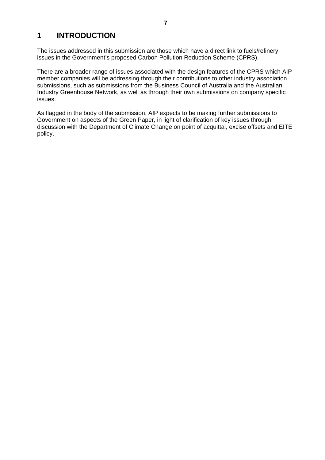# <span id="page-6-0"></span>**1 INTRODUCTION**

The issues addressed in this submission are those which have a direct link to fuels/refinery issues in the Government's proposed Carbon Pollution Reduction Scheme (CPRS).

There are a broader range of issues associated with the design features of the CPRS which AIP member companies will be addressing through their contributions to other industry association submissions, such as submissions from the Business Council of Australia and the Australian Industry Greenhouse Network, as well as through their own submissions on company specific issues.

As flagged in the body of the submission, AIP expects to be making further submissions to Government on aspects of the Green Paper, in light of clarification of key issues through discussion with the Department of Climate Change on point of acquittal, excise offsets and EITE policy.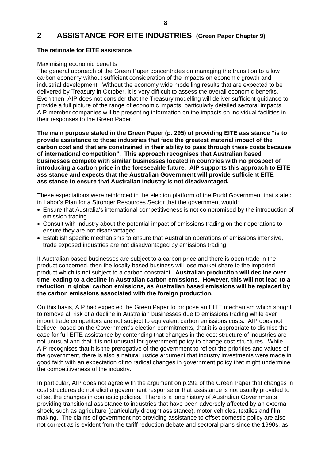# <span id="page-7-0"></span>**2 ASSISTANCE FOR EITE INDUSTRIES (Green Paper Chapter 9)**

# **The rationale for EITE assistance**

#### Maximising economic benefits

The general approach of the Green Paper concentrates on managing the transition to a low carbon economy without sufficient consideration of the impacts on economic growth and industrial development. Without the economy wide modelling results that are expected to be delivered by Treasury in October, it is very difficult to assess the overall economic benefits. Even then, AIP does not consider that the Treasury modelling will deliver sufficient guidance to provide a full picture of the range of economic impacts, particularly detailed sectoral impacts. AIP member companies will be presenting information on the impacts on individual facilities in their responses to the Green Paper.

**The main purpose stated in the Green Paper (p. 295) of providing EITE assistance "is to provide assistance to those industries that face the greatest material impact of the carbon cost and that are constrained in their ability to pass through these costs because of international competition". This approach recognises that Australian based businesses compete with similar businesses located in countries with no prospect of introducing a carbon price in the foreseeable future. AIP supports this approach to EITE assistance and expects that the Australian Government will provide sufficient EITE assistance to ensure that Australian industry is not disadvantaged.** 

These expectations were reinforced in the election platform of the Rudd Government that stated in Labor's Plan for a Stronger Resources Sector that the government would:

- Ensure that Australia's international competitiveness is not compromised by the introduction of emission trading
- Consult with industry about the potential impact of emissions trading on their operations to ensure they are not disadvantaged
- Establish specific mechanisms to ensure that Australian operations of emissions intensive, trade exposed industries are not disadvantaged by emissions trading.

If Australian based businesses are subject to a carbon price and there is open trade in the product concerned, then the locally based business will lose market share to the imported product which is not subject to a carbon constraint. **Australian production will decline over time leading to a decline in Australian carbon emissions. However, this will not lead to a reduction in global carbon emissions, as Australian based emissions will be replaced by the carbon emissions associated with the foreign production.**

On this basis, AIP had expected the Green Paper to propose an EITE mechanism which sought to remove all risk of a decline in Australian businesses due to emissions trading while ever import trade competitors are not subject to equivalent carbon emissions costs. AIP does not believe, based on the Government's election commitments, that it is appropriate to dismiss the case for full EITE assistance by contending that changes in the cost structure of industries are not unusual and that it is not unusual for government policy to change cost structures. While AIP recognises that it is the prerogative of the government to reflect the priorities and values of the government, there is also a natural justice argument that industry investments were made in good faith with an expectation of no radical changes in government policy that might undermine the competitiveness of the industry.

In particular, AIP does not agree with the argument on p.292 of the Green Paper that changes in cost structures do not elicit a government response or that assistance is not usually provided to offset the changes in domestic policies. There is a long history of Australian Governments providing transitional assistance to industries that have been adversely affected by an external shock, such as agriculture (particularly drought assistance), motor vehicles, textiles and film making. The claims of government not providing assistance to offset domestic policy are also not correct as is evident from the tariff reduction debate and sectoral plans since the 1990s, as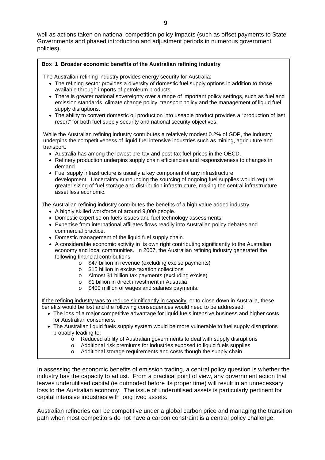#### **Box 1 Broader economic benefits of the Australian refining industry**

The Australian refining industry provides energy security for Australia:

- The refining sector provides a diversity of domestic fuel supply options in addition to those available through imports of petroleum products.
- There is greater national sovereignty over a range of important policy settings, such as fuel and emission standards, climate change policy, transport policy and the management of liquid fuel supply disruptions.
- The ability to convert domestic oil production into useable product provides a "production of last resort" for both fuel supply security and national security objectives.

While the Australian refining industry contributes a relatively modest 0.2% of GDP, the industry underpins the competitiveness of liquid fuel intensive industries such as mining, agriculture and transport.

- Australia has among the lowest pre-tax and post-tax fuel prices in the OECD.
- Refinery production underpins supply chain efficiencies and responsiveness to changes in demand.
- Fuel supply infrastructure is usually a key component of any infrastructure development. Uncertainty surrounding the sourcing of ongoing fuel supplies would require greater sizing of fuel storage and distribution infrastructure, making the central infrastructure asset less economic.

The Australian refining industry contributes the benefits of a high value added industry

- A highly skilled workforce of around 9,000 people.
- Domestic expertise on fuels issues and fuel technology assessments.
- Expertise from international affiliates flows readily into Australian policy debates and commercial practice.
- Domestic management of the liquid fuel supply chain.
- A considerable economic activity in its own right contributing significantly to the Australian economy and local communities. In 2007, the Australian refining industry generated the following financial contributions
	- o \$47 billion in revenue (excluding excise payments)
	- o \$15 billion in excise taxation collections
	- o Almost \$1 billion tax payments (excluding excise)
	- o \$1 billion in direct investment in Australia<br>
	o \$400 million of wages and salaries payme
	- \$400 million of wages and salaries payments.

If the refining industry was to reduce significantly in capacity, or to close down in Australia, these benefits would be lost and the following consequences would need to be addressed:

- The loss of a major competitive advantage for liquid fuels intensive business and higher costs for Australian consumers.
- The Australian liquid fuels supply system would be more vulnerable to fuel supply disruptions probably leading to:
	- o Reduced ability of Australian governments to deal with supply disruptions
	- o Additional risk premiums for industries exposed to liquid fuels supplies
	- o Additional storage requirements and costs though the supply chain.

In assessing the economic benefits of emission trading, a central policy question is whether the industry has the capacity to adjust. From a practical point of view, any government action that leaves underutilised capital (ie outmoded before its proper time) will result in an unnecessary loss to the Australian economy. The issue of underutilised assets is particularly pertinent for capital intensive industries with long lived assets.

Australian refineries can be competitive under a global carbon price and managing the transition path when most competitors do not have a carbon constraint is a central policy challenge.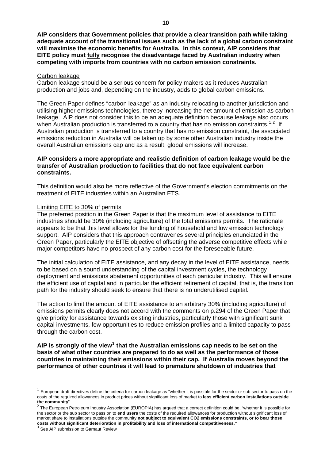<span id="page-9-0"></span>**AIP considers that Government policies that provide a clear transition path while taking adequate account of the transitional issues such as the lack of a global carbon constraint will maximise the economic benefits for Australia. In this context, AIP considers that EITE policy must fully recognise the disadvantage faced by Australian industry when competing with imports from countries with no carbon emission constraints.** 

#### Carbon leakage

Carbon leakage should be a serious concern for policy makers as it reduces Australian production and jobs and, depending on the industry, adds to global carbon emissions.

The Green Paper defines "carbon leakage" as an industry relocating to another jurisdiction and utilising higher emissions technologies, thereby increasing the net amount of emission as carbon leakage. AIP does not consider this to be an adequate definition because leakage also occurs when Australian production is transferred to a country that has no emission constraints.<sup>[1](#page-9-1),[2](#page-9-2)</sup> If Australian production is transferred to a country that has no emission constraint, the associated emissions reduction in Australia will be taken up by some other Australian industry inside the overall Australian emissions cap and as a result, global emissions will increase.

#### **AIP considers a more appropriate and realistic definition of carbon leakage would be the transfer of Australian production to facilities that do not face equivalent carbon constraints.**

This definition would also be more reflective of the Government's election commitments on the treatment of EITE industries within an Australian ETS.

#### Limiting EITE to 30% of permits

The preferred position in the Green Paper is that the maximum level of assistance to EITE industries should be 30% (including agriculture) of the total emissions permits. The rationale appears to be that this level allows for the funding of household and low emission technology support. AIP considers that this approach contravenes several principles enunciated in the Green Paper, particularly the EITE objective of offsetting the adverse competitive effects while major competitors have no prospect of any carbon cost for the foreseeable future.

The initial calculation of EITE assistance, and any decay in the level of EITE assistance, needs to be based on a sound understanding of the capital investment cycles, the technology deployment and emissions abatement opportunities of each particular industry. This will ensure the efficient use of capital and in particular the efficient retirement of capital, that is, the transition path for the industry should seek to ensure that there is no underutilised capital.

The action to limit the amount of EITE assistance to an arbitrary 30% (including agriculture) of emissions permits clearly does not accord with the comments on p.294 of the Green Paper that give priority for assistance towards existing industries, particularly those with significant sunk capital investments, few opportunities to reduce emission profiles and a limited capacity to pass through the carbon cost.

AIP is strongly of the view<sup>[3](#page-9-3)</sup> that the Australian emissions cap needs to be set on the **basis of what other countries are prepared to do as well as the performance of those countries in maintaining their emissions within their cap. If Australia moves beyond the performance of other countries it will lead to premature shutdown of industries that** 

<span id="page-9-1"></span><sup>1</sup> European draft directives define the criteria for carbon leakage as "whether it is possible for the sector or sub sector to pass on the costs of the required allowances in product prices without significant loss of market to **less efficient carbon installations outside** 

<span id="page-9-2"></span>the community".<br><sup>2</sup> The European Petroleum Industry Association (EUROPIA) has argued that a correct definition could be, "whether it is possible for the sector or the sub sector to pass on to **end users** the costs of the required allowances for production without significant loss of market share to installations outside the community **not subject to equivalent CO2 emissions constraints, or to bear those costs without significant deterioration in profitability and loss of international competitiveness."**

<span id="page-9-3"></span>See AIP submission to Garnaut Review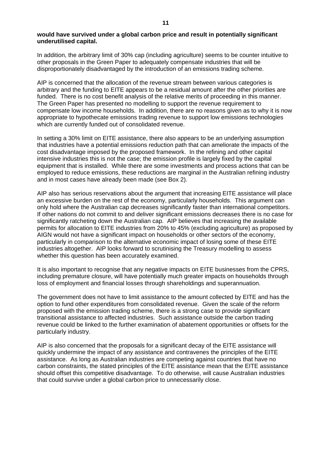#### **would have survived under a global carbon price and result in potentially significant underutilised capital.**

In addition, the arbitrary limit of 30% cap (including agriculture) seems to be counter intuitive to other proposals in the Green Paper to adequately compensate industries that will be disproportionately disadvantaged by the introduction of an emissions trading scheme.

AIP is concerned that the allocation of the revenue stream between various categories is arbitrary and the funding to EITE appears to be a residual amount after the other priorities are funded. There is no cost benefit analysis of the relative merits of proceeding in this manner. The Green Paper has presented no modelling to support the revenue requirement to compensate low income households. In addition, there are no reasons given as to why it is now appropriate to hypothecate emissions trading revenue to support low emissions technologies which are currently funded out of consolidated revenue.

In setting a 30% limit on EITE assistance, there also appears to be an underlying assumption that industries have a potential emissions reduction path that can ameliorate the impacts of the cost disadvantage imposed by the proposed framework. In the refining and other capital intensive industries this is not the case; the emission profile is largely fixed by the capital equipment that is installed. While there are some investments and process actions that can be employed to reduce emissions, these reductions are marginal in the Australian refining industry and in most cases have already been made (see Box 2).

AIP also has serious reservations about the argument that increasing EITE assistance will place an excessive burden on the rest of the economy, particularly households. This argument can only hold where the Australian cap decreases significantly faster than international competitors. If other nations do not commit to and deliver significant emissions decreases there is no case for significantly ratcheting down the Australian cap. AIP believes that increasing the available permits for allocation to EITE industries from 20% to 45% (excluding agriculture) as proposed by AIGN would not have a significant impact on households or other sectors of the economy, particularly in comparison to the alternative economic impact of losing some of these EITE industries altogether. AIP looks forward to scrutinising the Treasury modelling to assess whether this question has been accurately examined.

It is also important to recognise that any negative impacts on EITE businesses from the CPRS, including premature closure, will have potentially much greater impacts on households through loss of employment and financial losses through shareholdings and superannuation.

The government does not have to limit assistance to the amount collected by EITE and has the option to fund other expenditures from consolidated revenue. Given the scale of the reform proposed with the emission trading scheme, there is a strong case to provide significant transitional assistance to affected industries. Such assistance outside the carbon trading revenue could be linked to the further examination of abatement opportunities or offsets for the particularly industry.

AIP is also concerned that the proposals for a significant decay of the EITE assistance will quickly undermine the impact of any assistance and contravenes the principles of the EITE assistance. As long as Australian industries are competing against countries that have no carbon constraints, the stated principles of the EITE assistance mean that the EITE assistance should offset this competitive disadvantage. To do otherwise, will cause Australian industries that could survive under a global carbon price to unnecessarily close.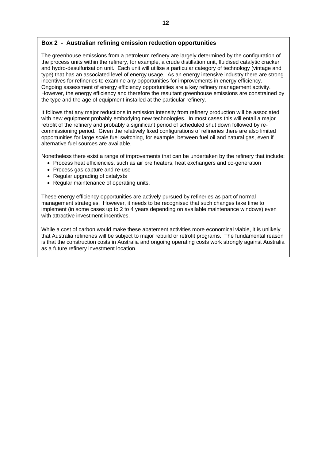### **Box 2 - Australian refining emission reduction opportunities**

The greenhouse emissions from a petroleum refinery are largely determined by the configuration of the process units within the refinery, for example, a crude distillation unit, fluidised catalytic cracker and hydro-desulfurisation unit. Each unit will utilise a particular category of technology (vintage and type) that has an associated level of energy usage. As an energy intensive industry there are strong incentives for refineries to examine any opportunities for improvements in energy efficiency. Ongoing assessment of energy efficiency opportunities are a key refinery management activity. However, the energy efficiency and therefore the resultant greenhouse emissions are constrained by the type and the age of equipment installed at the particular refinery.

It follows that any major reductions in emission intensity from refinery production will be associated with new equipment probably embodying new technologies. In most cases this will entail a major retrofit of the refinery and probably a significant period of scheduled shut down followed by recommissioning period. Given the relatively fixed configurations of refineries there are also limited opportunities for large scale fuel switching, for example, between fuel oil and natural gas, even if alternative fuel sources are available.

Nonetheless there exist a range of improvements that can be undertaken by the refinery that include:

- Process heat efficiencies, such as air pre heaters, heat exchangers and co-generation
- Process gas capture and re-use
- Regular upgrading of catalysts
- Regular maintenance of operating units.

These energy efficiency opportunities are actively pursued by refineries as part of normal management strategies. However, it needs to be recognised that such changes take time to implement (in some cases up to 2 to 4 years depending on available maintenance windows) even with attractive investment incentives.

While a cost of carbon would make these abatement activities more economical viable, it is unlikely that Australia refineries will be subject to major rebuild or retrofit programs. The fundamental reason is that the construction costs in Australia and ongoing operating costs work strongly against Australia as a future refinery investment location.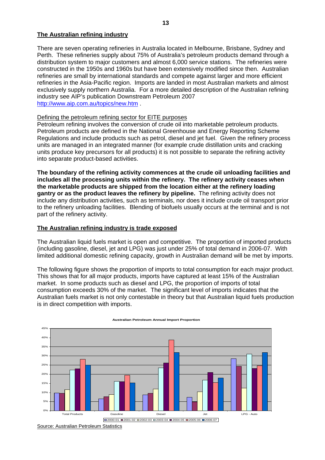#### <span id="page-12-0"></span>**The Australian refining industry**

There are seven operating refineries in Australia located in Melbourne, Brisbane, Sydney and Perth. These refineries supply about 75% of Australia's petroleum products demand through a distribution system to major customers and almost 6,000 service stations. The refineries were constructed in the 1950s and 1960s but have been extensively modified since then. Australian refineries are small by international standards and compete against larger and more efficient refineries in the Asia-Pacific region. Imports are landed in most Australian markets and almost exclusively supply northern Australia. For a more detailed description of the Australian refining industry see AIP's publication Downstream Petroleum 2007 <http://www.aip.com.au/topics/new.htm>.

#### Defining the petroleum refining sector for EITE purposes

Petroleum refining involves the conversion of crude oil into marketable petroleum products. Petroleum products are defined in the National Greenhouse and Energy Reporting Scheme Regulations and include products such as petrol, diesel and jet fuel. Given the refinery process units are managed in an integrated manner (for example crude distillation units and cracking units produce key precursors for all products) it is not possible to separate the refining activity into separate product-based activities.

**The boundary of the refining activity commences at the crude oil unloading facilities and includes all the processing units within the refinery. The refinery activity ceases when the marketable products are shipped from the location either at the refinery loading gantry or as the product leaves the refinery by pipeline.** The refining activity does not include any distribution activities, such as terminals, nor does it include crude oil transport prior to the refinery unloading facilities. Blending of biofuels usually occurs at the terminal and is not part of the refinery activity.

#### **The Australian refining industry is trade exposed**

The Australian liquid fuels market is open and competitive. The proportion of imported products (including gasoline, diesel, jet and LPG) was just under 25% of total demand in 2006-07. With limited additional domestic refining capacity, growth in Australian demand will be met by imports.

The following figure shows the proportion of imports to total consumption for each major product. This shows that for all major products, imports have captured at least 15% of the Australian market. In some products such as diesel and LPG, the proportion of imports of total consumption exceeds 30% of the market. The significant level of imports indicates that the Australian fuels market is not only contestable in theory but that Australian liquid fuels production is in direct competition with imports.



#### **Australian Petroleum Annual Import Proportion**

Source: Australian Petroleum Statistics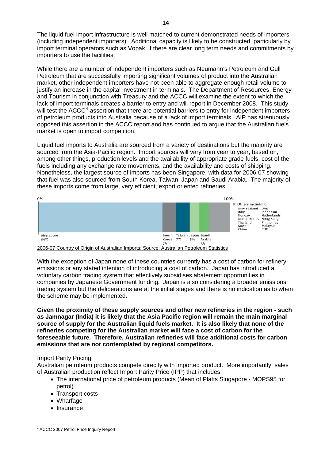<span id="page-13-0"></span>The liquid fuel import infrastructure is well matched to current demonstrated needs of importers (including independent importers). Additional capacity is likely to be constructed, particularly by import terminal operators such as Vopak, if there are clear long term needs and commitments by importers to use the facilities.

While there are a number of independent importers such as Neumann's Petroleum and Gull Petroleum that are successfully importing significant volumes of product into the Australian market, other independent importers have not been able to aggregate enough retail volume to justify an increase in the capital investment in terminals. The Department of Resources, Energy and Tourism in conjunction with Treasury and the ACCC will examine the extent to which the lack of import terminals creates a barrier to entry and will report in December 2008. This study will test the ACCC<sup>[4](#page-13-1)</sup> assertion that there are potential barriers to entry for independent importers of petroleum products into Australia because of a lack of import terminals. AIP has strenuously opposed this assertion in the ACCC report and has continued to argue that the Australian fuels market is open to import competition.

Liquid fuel imports to Australia are sourced from a variety of destinations but the majority are sourced from the Asia-Pacific region. Import sources will vary from year to year, based on, among other things, production levels and the availability of appropriate grade fuels, cost of the fuels including any exchange rate movements, and the availability and costs of shipping. Nonetheless, the largest source of imports has been Singapore, with data for 2006-07 showing that fuel was also sourced from South Korea, Taiwan, Japan and Saudi Arabia. The majority of these imports come from large, very efficient, export oriented refineries.



<sup>2006-07</sup> Country of Origin of Australian Imports: Source: Australian Petroleum Statistics

With the exception of Japan none of these countries currently has a cost of carbon for refinery emissions or any stated intention of introducing a cost of carbon. Japan has introduced a voluntary carbon trading system that effectively subsidises abatement opportunities in companies by Japanese Government funding. Japan is also considering a broader emissions trading system but the deliberations are at the initial stages and there is no indication as to when the scheme may be implemented.

**Given the proximity of these supply sources and other new refineries in the region - such as Jamnagar (India) it is likely that the Asia Pacific region will remain the main marginal source of supply for the Australian liquid fuels market. It is also likely that none of the refineries competing for the Australian market will face a cost of carbon for the foreseeable future. Therefore, Australian refineries will face additional costs for carbon emissions that are not contemplated by regional competitors.** 

# Import Parity Pricing

Australian petroleum products compete directly with imported product. More importantly, sales of Australian production reflect Import Parity Price (IPP) that includes:

- The international price of petroleum products (Mean of Platts Singapore MOPS95 for petrol)
- Transport costs
- Wharfage
- Insurance

<span id="page-13-1"></span> $\overline{a}$ <sup>4</sup> ACCC 2007 Petrol Price Inquiry Report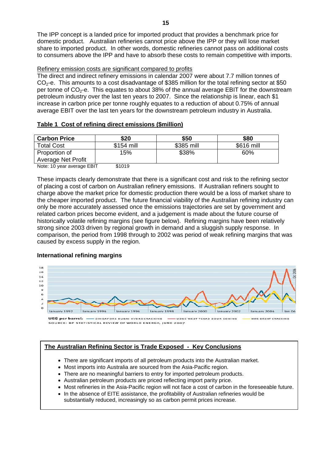<span id="page-14-0"></span>The IPP concept is a landed price for imported product that provides a benchmark price for domestic product. Australian refineries cannot price above the IPP or they will lose market share to imported product. In other words, domestic refineries cannot pass on additional costs to consumers above the IPP and have to absorb these costs to remain competitive with imports.

#### Refinery emission costs are significant compared to profits

The direct and indirect refinery emissions in calendar 2007 were about 7.7 million tonnes of  $CO<sub>2</sub>$ -e. This amounts to a cost disadvantage of \$385 million for the total refining sector at \$50 per tonne of  $CO<sub>2</sub>$ -e. This equates to about 38% of the annual average EBIT for the downstream petroleum industry over the last ten years to 2007. Since the relationship is linear, each \$1 increase in carbon price per tonne roughly equates to a reduction of about 0.75% of annual average EBIT over the last ten years for the downstream petroleum industry in Australia.

# **Table 1 Cost of refining direct emissions (\$million)**

| <b>Carbon Price</b>       | \$20       | \$50       | \$80       |
|---------------------------|------------|------------|------------|
| <b>Total Cost</b>         | \$154 mill | \$385 mill | \$616 mill |
| Proportion of             | 15%        | \$38%      | 60%        |
| <b>Average Net Profit</b> |            |            |            |

Note: 10 year average EBIT \$1019

These impacts clearly demonstrate that there is a significant cost and risk to the refining sector of placing a cost of carbon on Australian refinery emissions. If Australian refiners sought to charge above the market price for domestic production there would be a loss of market share to the cheaper imported product. The future financial viability of the Australian refining industry can only be more accurately assessed once the emissions trajectories are set by government and related carbon prices become evident, and a judgement is made about the future course of historically volatile refining margins (see figure below). Refining margins have been relatively strong since 2003 driven by regional growth in demand and a sluggish supply response. In comparison, the period from 1998 through to 2002 was period of weak refining margins that was caused by excess supply in the region.

# **International refining margins**



# **The Australian Refining Sector is Trade Exposed - Key Conclusions**

- There are significant imports of all petroleum products into the Australian market.
- Most imports into Australia are sourced from the Asia-Pacific region.
- There are no meaningful barriers to entry for imported petroleum products.
- Australian petroleum products are priced reflecting import parity price.
- Most refineries in the Asia-Pacific region will not face a cost of carbon in the foreseeable future.
- In the absence of EITE assistance, the profitability of Australian refineries would be substantially reduced, increasingly so as carbon permit prices increase.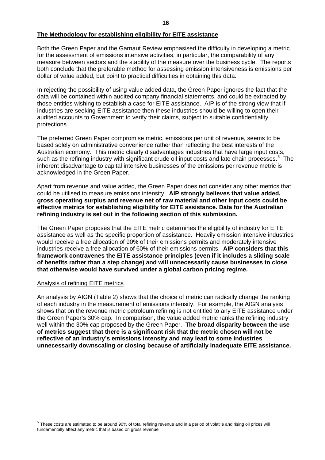#### <span id="page-15-0"></span>**The Methodology for establishing eligibility for EITE assistance**

Both the Green Paper and the Garnaut Review emphasised the difficulty in developing a metric for the assessment of emissions intensive activities, in particular, the comparability of any measure between sectors and the stability of the measure over the business cycle. The reports both conclude that the preferable method for assessing emission intensiveness is emissions per dollar of value added, but point to practical difficulties in obtaining this data.

In rejecting the possibility of using value added data, the Green Paper ignores the fact that the data will be contained within audited company financial statements, and could be extracted by those entities wishing to establish a case for EITE assistance. AIP is of the strong view that if industries are seeking EITE assistance then these industries should be willing to open their audited accounts to Government to verify their claims, subject to suitable confidentiality protections.

The preferred Green Paper compromise metric, emissions per unit of revenue, seems to be based solely on administrative convenience rather than reflecting the best interests of the Australian economy. This metric clearly disadvantages industries that have large input costs, such as the refining industry with significant crude oil input costs and late chain processes.<sup>[5](#page-16-0)</sup> The inherent disadvantage to capital intensive businesses of the emissions per revenue metric is acknowledged in the Green Paper.

Apart from revenue and value added, the Green Paper does not consider any other metrics that could be utilised to measure emissions intensity. **AIP strongly believes that value added, gross operating surplus and revenue net of raw material and other input costs could be effective metrics for establishing eligibility for EITE assistance. Data for the Australian refining industry is set out in the following section of this submission.**

The Green Paper proposes that the EITE metric determines the eligibility of industry for EITE assistance as well as the specific proportion of assistance. Heavily emission intensive industries would receive a free allocation of 90% of their emissions permits and moderately intensive industries receive a free allocation of 60% of their emissions permits. **AIP considers that this framework contravenes the EITE assistance principles (even if it includes a sliding scale of benefits rather than a step change) and will unnecessarily cause businesses to close that otherwise would have survived under a global carbon pricing regime.**

#### Analysis of refining EITE metrics

 $\overline{a}$ 

An analysis by AIGN (Table 2) shows that the choice of metric can radically change the ranking of each industry in the measurement of emissions intensity. For example, the AIGN analysis shows that on the revenue metric petroleum refining is not entitled to any EITE assistance under the Green Paper's 30% cap. In comparison, the value added metric ranks the refining industry well within the 30% cap proposed by the Green Paper. **The broad disparity between the use of metrics suggest that there is a significant risk that the metric chosen will not be reflective of an industry's emissions intensity and may lead to some industries unnecessarily downscaling or closing because of artificially inadequate EITE assistance.**

 $<sup>5</sup>$  These costs are estimated to be around 90% of total refining revenue and in a period of volatile and rising oil prices will</sup> fundamentally affect any metric that is based on gross revenue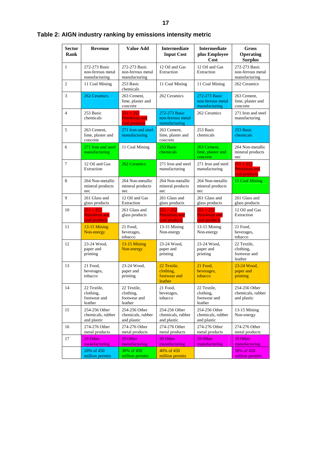<span id="page-16-0"></span>

| <b>Sector</b><br>Rank | <b>Revenue</b>                                       | <b>Value Add</b>                                     | <b>Intermediate</b><br><b>Input Cost</b>             | <b>Intermediate</b><br>plus Employee<br>Cost         |                                                      |
|-----------------------|------------------------------------------------------|------------------------------------------------------|------------------------------------------------------|------------------------------------------------------|------------------------------------------------------|
| $\mathbf{1}$          | 272-273 Basic<br>non-ferrous metal<br>manufacturing  | 272-273 Basic<br>non-ferrous metal<br>manufacturing  | 12 Oil and Gas<br>Extraction                         | 12 Oil and Gas<br>Extraction                         | 272-273 Basic<br>non-ferrous metal<br>manufacturing  |
| $\overline{c}$        | 11 Coal Mining                                       | 253 Basic<br>chemicals                               | 11 Coal Mining                                       | 11 Coal Mining                                       | 262 Ceramics                                         |
| 3                     | 262 Ceramics                                         | 263 Cement,<br>lime, plaster and<br>concrete         | 262 Ceramics                                         | 272-273 Basic<br>non-ferrous metal<br>manufacturing  | 263 Cement,<br>lime, plaster and<br>concrete         |
| $\overline{4}$        | 253 Basic<br>chemicals                               | $251 + 252$<br><b>Petroleum</b> and<br>coal products | 272-273 Basic<br>non-ferrous metal<br>manufacturing  | 262 Ceramics                                         | 271 Iron and steel<br>manufacturing                  |
| 5                     | 263 Cement,<br>lime, plaster and<br>concrete         | 271 Iron and steel<br>manufacturing                  | 263 Cement,<br>lime, plaster and<br>concrete         | 253 Basic<br>chemicals                               | 253 Basic<br>chemicals                               |
| 6                     | 271 Iron and steel<br>manufacturing                  | 11 Coal Mining                                       | 253 Basic<br>chemicals                               | 263 Cement.<br>lime, plaster and<br>concrete         | 264 Non-metallic<br>mineral products<br>nec          |
| 7                     | 12 Oil and Gas<br>Extraction                         | 262 Ceramics                                         | 271 Iron and steel<br>manufacturing                  | 271 Iron and steel<br>manufacturing                  | $251 + 252$<br><b>Petroleum and</b><br>coal products |
| 8                     | 264 Non-metallic<br>mineral products<br>nec          | 264 Non-metallic<br>mineral products<br>nec          | 264 Non-metallic<br>mineral products<br>nec          | 264 Non-metallic<br>mineral products<br>nec          | 11 Coal Mining                                       |
| 9                     | 261 Glass and<br>glass products                      | 12 Oil and Gas<br>Extraction                         | 261 Glass and<br>glass products                      | 261 Glass and<br>glass products                      | 261 Glass and<br>glass products                      |
| 10                    | $251 + 252$<br><b>Petroleum and</b><br>coal products | 261 Glass and<br>glass products                      | $251 + 252$<br><b>Petroleum</b> and<br>coal products | $251 + 252$<br><b>Petroleum</b> and<br>coal products | 12 Oil and Gas<br>Extraction                         |
| 11                    | $13-15$ Mining<br>Non-energy                         | 21 Food,<br>beverages,<br>tobacco                    | 13-15 Mining<br>Non-energy                           | 13-15 Mining<br>Non-energy                           | 21 Food,<br>beverages,<br>tobacco                    |
| 12                    | 23-24 Wood,<br>paper and<br>printing                 | $13-15$ Mining<br>Non-energy                         | 23-24 Wood,<br>paper and<br>printing                 | 23-24 Wood,<br>paper and<br>printing                 | 22 Textile,<br>clothing.<br>footwear and<br>leather  |
| 13                    | 21 Food,<br>beverages,<br>tobacco                    | 23-24 Wood,<br>paper and<br>printing                 | 22 Textile,<br>clothing,<br>footwear and<br>leather  | 21 Food.<br>beverages,<br>tobacco                    | 23-24 Wood,<br>paper and<br>printing                 |
| 14                    | 22 Textile,<br>clothing,<br>footwear and<br>leather  | 22 Textile,<br>clothing,<br>footwear and<br>leather  | 21 Food,<br>beverages,<br>tobacco                    | 22 Textile,<br>clothing,<br>footwear and<br>leather  | 254-256 Other<br>chemicals, rubber<br>and plastic    |
| 15                    | 254-256 Other<br>chemicals, rubber<br>and plastic    | 254-256 Other<br>chemicals, rubber<br>and plastic    | 254-256 Other<br>chemicals, rubber<br>and plastic    | 254-256 Other<br>chemicals, rubber<br>and plastic    | $13-15$ Mining<br>Non-energy                         |
| 16                    | 274-276 Other<br>metal products                      | 274-276 Other<br>metal products                      | 274-276 Other<br>metal products                      | 274-276 Other<br>metal products                      | 274-276 Other<br>metal products                      |
| 17                    | 29 Other<br>manufacturing                            | 29 Other<br>manufacturing                            | 29 Other<br>manufacturing                            | 29 Other<br>manufacturing                            | 29 Other<br>manufacturing                            |
|                       | 20% of 450<br>million permits                        | 30% of 450<br>million permits                        | 40% of 450<br>million permits                        |                                                      | 50% of 450<br>million permits                        |

# **Table 2: AIGN industry ranking by emissions intensity metric**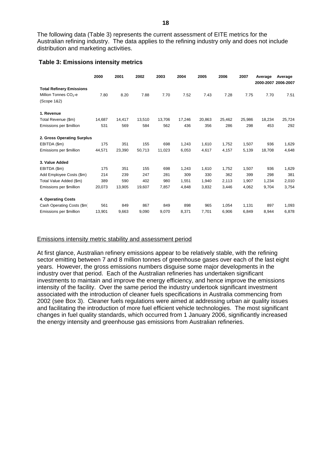<span id="page-17-0"></span>The following data (Table 3) represents the current assessment of EITE metrics for the Australian refining industry. The data applies to the refining industry only and does not include distribution and marketing activities.

#### **Table 3: Emissions intensity metrics**

|                                   | 2000   | 2001   | 2002   | 2003   | 2004   | 2005   | 2006   | 2007   | Average | Average<br>2000-2007 2006-2007 |
|-----------------------------------|--------|--------|--------|--------|--------|--------|--------|--------|---------|--------------------------------|
| <b>Total Refinery Emissions</b>   |        |        |        |        |        |        |        |        |         |                                |
| Million Tonnes CO <sub>2</sub> -e | 7.80   | 8.20   | 7.88   | 7.70   | 7.52   | 7.43   | 7.28   | 7.75   | 7.70    | 7.51                           |
| (Scope 1&2)                       |        |        |        |        |        |        |        |        |         |                                |
| 1. Revenue                        |        |        |        |        |        |        |        |        |         |                                |
| Total Revenue (\$m)               | 14.687 | 14.417 | 13,510 | 13,706 | 17,246 | 20,863 | 25,462 | 25,986 | 18,234  | 25,724                         |
| Emissions per \$million           | 531    | 569    | 584    | 562    | 436    | 356    | 286    | 298    | 453     | 292                            |
| 2. Gross Operating Surplus        |        |        |        |        |        |        |        |        |         |                                |
| EBITDA (\$m)                      | 175    | 351    | 155    | 698    | 1,243  | 1,610  | 1,752  | 1,507  | 936     | 1,629                          |
| Emissions per \$million           | 44,571 | 23,390 | 50,713 | 11,023 | 6,053  | 4,617  | 4,157  | 5,139  | 18,708  | 4,648                          |
| 3. Value Added                    |        |        |        |        |        |        |        |        |         |                                |
| EBITDA (\$m)                      | 175    | 351    | 155    | 698    | 1,243  | 1,610  | 1,752  | 1,507  | 936     | 1,629                          |
| Add Employee Costs (\$m)          | 214    | 239    | 247    | 281    | 309    | 330    | 362    | 399    | 298     | 381                            |
| Total Value Added (\$m)           | 389    | 590    | 402    | 980    | 1,551  | 1,940  | 2,113  | 1,907  | 1,234   | 2,010                          |
| Emissions per \$million           | 20,073 | 13,905 | 19,607 | 7,857  | 4,848  | 3,832  | 3,446  | 4,062  | 9,704   | 3,754                          |
| 4. Operating Costs                |        |        |        |        |        |        |        |        |         |                                |
| Cash Operating Costs (\$m)        | 561    | 849    | 867    | 849    | 898    | 965    | 1,054  | 1,131  | 897     | 1,093                          |
| Emissions per \$million           | 13,901 | 9,663  | 9.090  | 9.070  | 8,371  | 7.701  | 6,906  | 6,849  | 8.944   | 6,878                          |

#### Emissions intensity metric stability and assessment period

At first glance, Australian refinery emissions appear to be relatively stable, with the refining sector emitting between 7 and 8 million tonnes of greenhouse gases over each of the last eight years. However, the gross emissions numbers disguise some major developments in the industry over that period. Each of the Australian refineries has undertaken significant investments to maintain and improve the energy efficiency, and hence improve the emissions intensity of the facility. Over the same period the industry undertook significant investment associated with the introduction of cleaner fuels specifications in Australia commencing from 2002 (see Box 3). Cleaner fuels regulations were aimed at addressing urban air quality issues and facilitating the introduction of more fuel efficient vehicle technologies. The most significant changes in fuel quality standards, which occurred from 1 January 2006, significantly increased the energy intensity and greenhouse gas emissions from Australian refineries.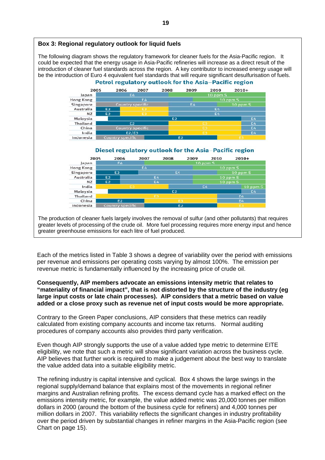

Each of the metrics listed in Table 3 shows a degree of variability over the period with emissions per revenue and emissions per operating costs varying by almost 100%. The emission per revenue metric is fundamentally influenced by the increasing price of crude oil.

#### **Consequently, AIP members advocate an emissions intensity metric that relates to "materiality of financial impact", that is not distorted by the structure of the industry (eg large input costs or late chain processes). AIP considers that a metric based on value added or a close proxy such as revenue net of input costs would be more appropriate.**

Contrary to the Green Paper conclusions, AIP considers that these metrics can readily calculated from existing company accounts and income tax returns. Normal auditing procedures of company accounts also provides third party verification.

Even though AIP strongly supports the use of a value added type metric to determine EITE eligibility, we note that such a metric will show significant variation across the business cycle. AIP believes that further work is required to make a judgement about the best way to translate the value added data into a suitable eligibility metric.

The refining industry is capital intensive and cyclical. Box 4 shows the large swings in the regional supply/demand balance that explains most of the movements in regional refiner margins and Australian refining profits. The excess demand cycle has a marked effect on the emissions intensity metric, for example, the value added metric was 20,000 tonnes per million dollars in 2000 (around the bottom of the business cycle for refiners) and 4,000 tonnes per million dollars in 2007. This variability reflects the significant changes in industry profitability over the period driven by substantial changes in refiner margins in the Asia-Pacific region (see Chart on page 15).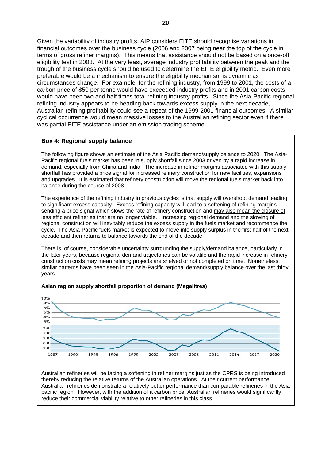Given the variability of industry profits, AIP considers EITE should recognise variations in financial outcomes over the business cycle (2006 and 2007 being near the top of the cycle in terms of gross refiner margins). This means that assistance should not be based on a once-off eligibility test in 2008. At the very least, average industry profitability between the peak and the trough of the business cycle should be used to determine the EITE eligibility metric. Even more preferable would be a mechanism to ensure the eligibility mechanism is dynamic as circumstances change. For example, for the refining industry, from 1999 to 2001, the costs of a carbon price of \$50 per tonne would have exceeded industry profits and in 2001 carbon costs would have been two and half times total refining industry profits. Since the Asia-Pacific regional refining industry appears to be heading back towards excess supply in the next decade, Australian refining profitability could see a repeat of the 1999-2001 financial outcomes. A similar cyclical occurrence would mean massive losses to the Australian refining sector even if there was partial EITE assistance under an emission trading scheme.

# **Box 4: Regional supply balance**

The following figure shows an estimate of the Asia Pacific demand/supply balance to 2020. The Asia-Pacific regional fuels market has been in supply shortfall since 2003 driven by a rapid increase in demand, especially from China and India. The increase in refiner margins associated with this supply shortfall has provided a price signal for increased refinery construction for new facilities, expansions and upgrades. It is estimated that refinery construction will move the regional fuels market back into balance during the course of 2008.

The experience of the refining industry in previous cycles is that supply will overshoot demand leading to significant excess capacity. Excess refining capacity will lead to a softening of refining margins sending a price signal which slows the rate of refinery construction and may also mean the closure of less efficient refineries that are no longer viable. Increasing regional demand and the slowing of regional construction will inevitably reduce the excess supply in the fuels market and recommence the cycle. The Asia-Pacific fuels market is expected to move into supply surplus in the first half of the next decade and then returns to balance towards the end of the decade.

There is, of course, considerable uncertainty surrounding the supply/demand balance, particularly in the later years, because regional demand trajectories can be volatile and the rapid increase in refinery construction costs may mean refining projects are shelved or not completed on time. Nonetheless, similar patterns have been seen in the Asia-Pacific regional demand/supply balance over the last thirty years.



#### **Asian region supply shortfall proportion of demand (Megalitres)**

Australian refineries will be facing a softening in refiner margins just as the CPRS is being introduced thereby reducing the relative returns of the Australian operations. At their current performance, Australian refineries demonstrate a relatively better performance than comparable refineries in the Asia pacific region However, with the addition of a carbon price, Australian refineries would significantly reduce their commercial viability relative to other refineries in this class.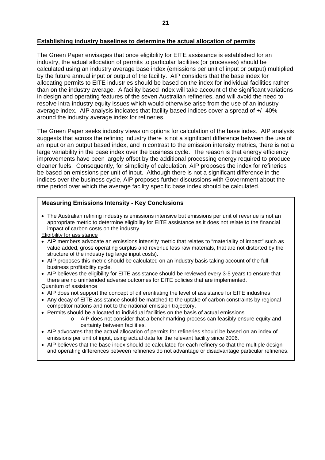#### <span id="page-20-0"></span>**Establishing industry baselines to determine the actual allocation of permits**

The Green Paper envisages that once eligibility for EITE assistance is established for an industry, the actual allocation of permits to particular facilities (or processes) should be calculated using an industry average base index (emissions per unit of input or output) multiplied by the future annual input or output of the facility. AIP considers that the base index for allocating permits to EITE industries should be based on the index for individual facilities rather than on the industry average. A facility based index will take account of the significant variations in design and operating features of the seven Australian refineries, and will avoid the need to resolve intra-industry equity issues which would otherwise arise from the use of an industry average index. AIP analysis indicates that facility based indices cover a spread of +/- 40% around the industry average index for refineries.

The Green Paper seeks industry views on options for calculation of the base index. AIP analysis suggests that across the refining industry there is not a significant difference between the use of an input or an output based index, and in contrast to the emission intensity metrics, there is not a large variability in the base index over the business cycle. The reason is that energy efficiency improvements have been largely offset by the additional processing energy required to produce cleaner fuels. Consequently, for simplicity of calculation, AIP proposes the index for refineries be based on emissions per unit of input. Although there is not a significant difference in the indices over the business cycle, AIP proposes further discussions with Government about the time period over which the average facility specific base index should be calculated.

#### **Measuring Emissions Intensity - Key Conclusions**

• The Australian refining industry is emissions intensive but emissions per unit of revenue is not an appropriate metric to determine eligibility for EITE assistance as it does not relate to the financial impact of carbon costs on the industry.

Eligibility for assistance

- AIP members advocate an emissions intensity metric that relates to "materiality of impact" such as value added, gross operating surplus and revenue less raw materials, that are not distorted by the structure of the industry (eg large input costs).
- AIP proposes this metric should be calculated on an industry basis taking account of the full business profitability cycle.
- AIP believes the eligibility for EITE assistance should be reviewed every 3-5 years to ensure that there are no unintended adverse outcomes for EITE policies that are implemented.

#### Quantum of assistance

- AIP does not support the concept of differentiating the level of assistance for EITE industries
- Any decay of EITE assistance should be matched to the uptake of carbon constraints by regional competitor nations and not to the national emission trajectory.
- Permits should be allocated to individual facilities on the basis of actual emissions.
	- o AIP does not consider that a benchmarking process can feasibly ensure equity and certainty between facilities.
- AIP advocates that the actual allocation of permits for refineries should be based on an index of emissions per unit of input, using actual data for the relevant facility since 2006.
- AIP believes that the base index should be calculated for each refinery so that the multiple design and operating differences between refineries do not advantage or disadvantage particular refineries.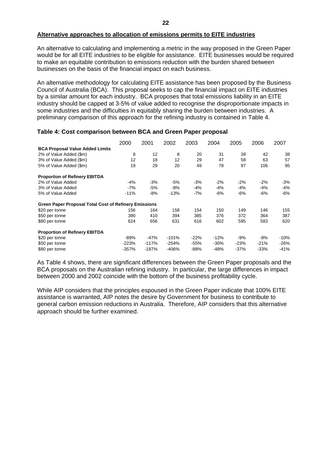#### <span id="page-21-0"></span>**Alternative approaches to allocation of emissions permits to EITE industries**

An alternative to calculating and implementing a metric in the way proposed in the Green Paper would be for all EITE industries to be eligible for assistance. EITE businesses would be required to make an equitable contribution to emissions reduction with the burden shared between businesses on the basis of the financial impact on each business.

An alternative methodology for calculating EITE assistance has been proposed by the Business Council of Australia (BCA). This proposal seeks to cap the financial impact on EITE industries by a similar amount for each industry. BCA proposes that total emissions liability in an EITE industry should be capped at 3-5% of value added to recognise the disproportionate impacts in some industries and the difficulties in equitably sharing the burden between industries. A preliminary comparison of this approach for the refining industry is contained in Table 4.

#### **Table 4: Cost comparison between BCA and Green Paper proposal**

|                                                              | 2000    | 2001    | 2002    | 2003   | 2004   | 2005   | 2006   | 2007   |
|--------------------------------------------------------------|---------|---------|---------|--------|--------|--------|--------|--------|
| <b>BCA Proposal Value Added Limits</b>                       |         |         |         |        |        |        |        |        |
| 2% of Value Added (\$m)                                      | 8       | 12      | 8       | 20     | 31     | 39     | 42     | 38     |
| 3% of Value Added (\$m)                                      | 12      | 18      | 12      | 29     | 47     | 58     | 63     | 57     |
| 5% of Value Added (\$m)                                      | 19      | 29      | 20      | 49     | 78     | 97     | 106    | 95     |
| <b>Proportion of Refinery EBITDA</b>                         |         |         |         |        |        |        |        |        |
| 2% of Value Added                                            | $-4%$   | $-3%$   | $-5%$   | $-3%$  | $-2%$  | $-2\%$ | $-2%$  | -3%    |
| 3% of Value Added                                            | $-7%$   | -5%     | -8%     | -4%    | $-4%$  | -4%    | -4%    | -4%    |
| 5% of Value Added                                            | $-11%$  | -8%     | $-13%$  | $-7%$  | -6%    | -6%    | -6%    | -6%    |
| <b>Green Paper Proposal Total Cost of Refinery Emissions</b> |         |         |         |        |        |        |        |        |
| \$20 per tonne                                               | 156     | 164     | 158     | 154    | 150    | 149    | 146    | 155    |
| \$50 per tonne                                               | 390     | 410     | 394     | 385    | 376    | 372    | 364    | 387    |
| \$80 per tonne                                               | 624     | 656     | 631     | 616    | 602    | 595    | 583    | 620    |
| <b>Proportion of Refinery EBITDA</b>                         |         |         |         |        |        |        |        |        |
| \$20 per tonne                                               | -89%    | -47%    | $-101%$ | $-22%$ | $-12%$ | $-9%$  | $-8%$  | $-10%$ |
| \$50 per tonne                                               | $-223%$ | $-117%$ | $-254%$ | $-55%$ | $-30%$ | $-23%$ | $-21%$ | $-26%$ |
| \$80 per tonne                                               | $-357%$ | $-187%$ | $-406%$ | $-88%$ | $-48%$ | $-37%$ | $-33%$ | $-41%$ |

As Table 4 shows, there are significant differences between the Green Paper proposals and the BCA proposals on the Australian refining industry. In particular, the large differences in impact between 2000 and 2002 coincide with the bottom of the business profitability cycle.

While AIP considers that the principles espoused in the Green Paper indicate that 100% EITE assistance is warranted, AIP notes the desire by Government for business to contribute to general carbon emission reductions in Australia. Therefore, AIP considers that this alternative approach should be further examined.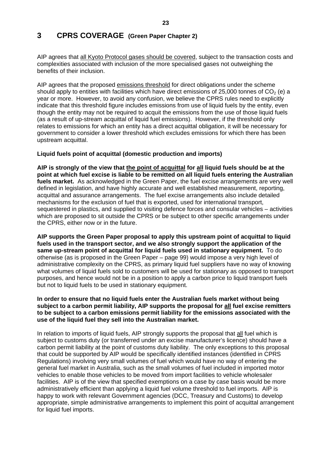# <span id="page-22-0"></span>**3 CPRS COVERAGE (Green Paper Chapter 2)**

AIP agrees that all Kyoto Protocol gases should be covered, subject to the transaction costs and complexities associated with inclusion of the more specialised gases not outweighing the benefits of their inclusion.

AIP agrees that the proposed emissions threshold for direct obligations under the scheme should apply to entities with facilities which have direct emissions of 25,000 tonnes of  $CO<sub>2</sub>$  (e) a year or more. However, to avoid any confusion, we believe the CPRS rules need to explicitly indicate that this threshold figure includes emissions from use of liquid fuels by the entity, even though the entity may not be required to acquit the emissions from the use of those liquid fuels (as a result of up-stream acquittal of liquid fuel emissions). However, if the threshold only relates to emissions for which an entity has a direct acquittal obligation, it will be necessary for government to consider a lower threshold which excludes emissions for which there has been upstream acquittal.

# **Liquid fuels point of acquittal (domestic production and imports)**

**AIP is strongly of the view that the point of acquittal for all liquid fuels should be at the point at which fuel excise is liable to be remitted on all liquid fuels entering the Australian fuels market.** As acknowledged in the Green Paper, the fuel excise arrangements are very well defined in legislation, and have highly accurate and well established measurement, reporting, acquittal and assurance arrangements. The fuel excise arrangements also include detailed mechanisms for the exclusion of fuel that is exported, used for international transport, sequestered in plastics, and supplied to visiting defence forces and consular vehicles – activities which are proposed to sit outside the CPRS or be subject to other specific arrangements under the CPRS, either now or in the future.

**AIP supports the Green Paper proposal to apply this upstream point of acquittal to liquid fuels used in the transport sector, and we also strongly support the application of the same up-stream point of acquittal for liquid fuels used in stationary equipment.** To do otherwise (as is proposed in the Green Paper – page 99) would impose a very high level of administrative complexity on the CPRS, as primary liquid fuel suppliers have no way of knowing what volumes of liquid fuels sold to customers will be used for stationary as opposed to transport purposes, and hence would not be in a position to apply a carbon price to liquid transport fuels but not to liquid fuels to be used in stationary equipment.

### **In order to ensure that no liquid fuels enter the Australian fuels market without being subject to a carbon permit liability, AIP supports the proposal for all fuel excise remitters to be subject to a carbon emissions permit liability for the emissions associated with the use of the liquid fuel they sell into the Australian market.**

In relation to imports of liquid fuels. AIP strongly supports the proposal that all fuel which is subject to customs duty (or transferred under an excise manufacturer's licence) should have a carbon permit liability at the point of customs duty liability. The only exceptions to this proposal that could be supported by AIP would be specifically identified instances (identified in CPRS Regulations) involving very small volumes of fuel which would have no way of entering the general fuel market in Australia, such as the small volumes of fuel included in imported motor vehicles to enable those vehicles to be moved from import facilities to vehicle wholesaler facilities. AIP is of the view that specified exemptions on a case by case basis would be more administratively efficient than applying a liquid fuel volume threshold to fuel imports. AIP is happy to work with relevant Government agencies (DCC, Treasury and Customs) to develop appropriate, simple administrative arrangements to implement this point of acquittal arrangement for liquid fuel imports.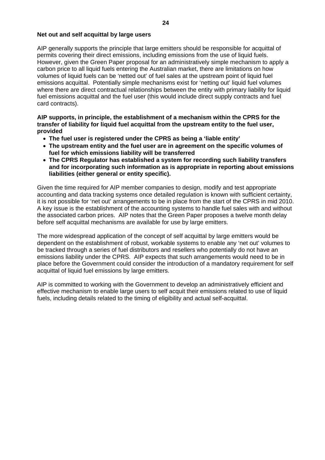#### <span id="page-23-0"></span>**Net out and self acquittal by large users**

AIP generally supports the principle that large emitters should be responsible for acquittal of permits covering their direct emissions, including emissions from the use of liquid fuels. However, given the Green Paper proposal for an administratively simple mechanism to apply a carbon price to all liquid fuels entering the Australian market, there are limitations on how volumes of liquid fuels can be 'netted out' of fuel sales at the upstream point of liquid fuel emissions acquittal. Potentially simple mechanisms exist for 'netting out' liquid fuel volumes where there are direct contractual relationships between the entity with primary liability for liquid fuel emissions acquittal and the fuel user (this would include direct supply contracts and fuel card contracts).

**AIP supports, in principle, the establishment of a mechanism within the CPRS for the transfer of liability for liquid fuel acquittal from the upstream entity to the fuel user, provided** 

- **The fuel user is registered under the CPRS as being a 'liable entity'**
- **The upstream entity and the fuel user are in agreement on the specific volumes of fuel for which emissions liability will be transferred**
- **The CPRS Regulator has established a system for recording such liability transfers and for incorporating such information as is appropriate in reporting about emissions liabilities (either general or entity specific).**

Given the time required for AIP member companies to design, modify and test appropriate accounting and data tracking systems once detailed regulation is known with sufficient certainty, it is not possible for 'net out' arrangements to be in place from the start of the CPRS in mid 2010. A key issue is the establishment of the accounting systems to handle fuel sales with and without the associated carbon prices. AIP notes that the Green Paper proposes a twelve month delay before self acquittal mechanisms are available for use by large emitters.

The more widespread application of the concept of self acquittal by large emitters would be dependent on the establishment of robust, workable systems to enable any 'net out' volumes to be tracked through a series of fuel distributors and resellers who potentially do not have an emissions liability under the CPRS. AIP expects that such arrangements would need to be in place before the Government could consider the introduction of a mandatory requirement for self acquittal of liquid fuel emissions by large emitters.

AIP is committed to working with the Government to develop an administratively efficient and effective mechanism to enable large users to self acquit their emissions related to use of liquid fuels, including details related to the timing of eligibility and actual self-acquittal.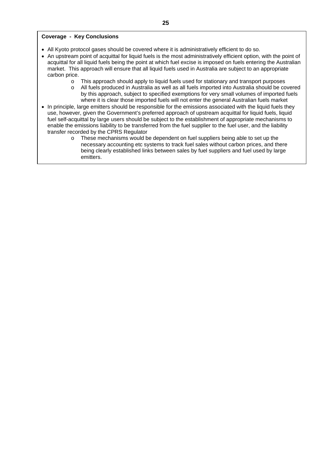#### **Coverage - Key Conclusions**

- All Kyoto protocol gases should be covered where it is administratively efficient to do so.
- An upstream point of acquittal for liquid fuels is the most administratively efficient option, with the point of acquittal for all liquid fuels being the point at which fuel excise is imposed on fuels entering the Australian market. This approach will ensure that all liquid fuels used in Australia are subject to an appropriate carbon price.
	- o This approach should apply to liquid fuels used for stationary and transport purposes
	- o All fuels produced in Australia as well as all fuels imported into Australia should be covered by this approach, subject to specified exemptions for very small volumes of imported fuels where it is clear those imported fuels will not enter the general Australian fuels market
- In principle, large emitters should be responsible for the emissions associated with the liquid fuels they use, however, given the Government's preferred approach of upstream acquittal for liquid fuels, liquid fuel self-acquittal by large users should be subject to the establishment of appropriate mechanisms to enable the emissions liability to be transferred from the fuel supplier to the fuel user, and the liability transfer recorded by the CPRS Regulator
	- $\circ$  These mechanisms would be dependent on fuel suppliers being able to set up the necessary accounting etc systems to track fuel sales without carbon prices, and there being clearly established links between sales by fuel suppliers and fuel used by large emitters.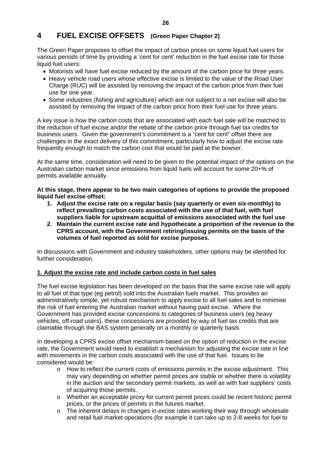# <span id="page-25-0"></span>**4 FUEL EXCISE OFFSETS (Green Paper Chapter 2)**

The Green Paper proposes to offset the impact of carbon prices on some liquid fuel users for various periods of time by providing a 'cent for cent' reduction in the fuel excise rate for those liquid fuel users:

- Motorists will have fuel excise reduced by the amount of the carbon price for three years.
- Heavy vehicle road users whose effective excise is limited to the value of the Road User Charge (RUC) will be assisted by removing the impact of the carbon price from their fuel use for one year.
- Some industries (fishing and agriculture) which are not subject to a net excise will also be assisted by removing the impact of the carbon price from their fuel use for three years.

A key issue is how the carbon costs that are associated with each fuel sale will be matched to the reduction of fuel excise and/or the rebate of the carbon price through fuel tax credits for business users. Given the government's commitment is a "cent for cent" offset there are challenges in the exact delivery of this commitment, particularly how to adjust the excise rate frequently enough to match the carbon cost that would be paid at the bowser.

At the same time, consideration will need to be given to the potential impact of the options on the Australian carbon market since emissions from liquid fuels will account for some 20+% of permits available annually.

**At this stage, there appear to be two main categories of options to provide the proposed liquid fuel excise offset:** 

- **1. Adjust the excise rate on a regular basis (say quarterly or even six-monthly) to reflect prevailing carbon costs associated with the use of that fuel, with fuel suppliers liable for upstream acquittal of emissions associated with the fuel use**
- **2. Maintain the current excise rate and hypothecate a proportion of the revenue to the CPRS account, with the Government retiring/issuing permits on the basis of the volumes of fuel reported as sold for excise purposes.**

In discussions with Government and industry stakeholders, other options may be identified for further consideration.

# **1. Adjust the excise rate and include carbon costs in fuel sales**

The fuel excise legislation has been developed on the basis that the same excise rate will apply to all fuel of that type (eg petrol) sold into the Australian fuels market. This provides an administratively simple, yet robust mechanism to apply excise to all fuel sales and to minimise the risk of fuel entering the Australian market without having paid excise. Where the Government has provided excise concessions to categories of business users (eg heavy vehicles, off-road users), these concessions are provided by way of fuel tax credits that are claimable through the BAS system generally on a monthly or quarterly basis.

In developing a CPRS excise offset mechanism based on the option of reduction in the excise rate, the Government would need to establish a mechanism for adjusting the excise rate in line with movements in the carbon costs associated with the use of that fuel. Issues to be considered would be:

- $\circ$  How to reflect the current costs of emissions permits in the excise adjustment. This may vary depending on whether permit prices are stable or whether there is volatility in the auction and the secondary permit markets, as well as with fuel suppliers' costs of acquiring those permits.
- o Whether an acceptable proxy for current permit prices could be recent historic permit prices, or the prices of permits in the futures market.
- o The inherent delays in changes in excise rates working their way through wholesale and retail fuel market operations (for example it can take up to 2-8 weeks for fuel to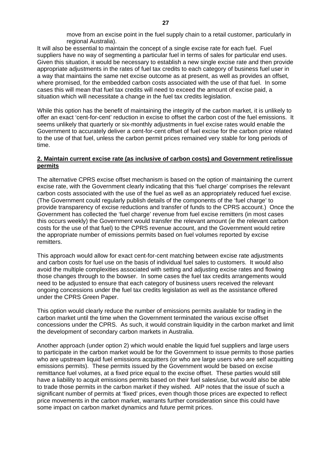move from an excise point in the fuel supply chain to a retail customer, particularly in regional Australia).

<span id="page-26-0"></span>It will also be essential to maintain the concept of a single excise rate for each fuel. Fuel suppliers have no way of segmenting a particular fuel in terms of sales for particular end uses. Given this situation, it would be necessary to establish a new single excise rate and then provide appropriate adjustments in the rates of fuel tax credits to each category of business fuel user in a way that maintains the same net excise outcome as at present, as well as provides an offset, where promised, for the embedded carbon costs associated with the use of that fuel. In some cases this will mean that fuel tax credits will need to exceed the amount of excise paid, a situation which will necessitate a change in the fuel tax credits legislation.

While this option has the benefit of maintaining the integrity of the carbon market, it is unlikely to offer an exact 'cent-for-cent' reduction in excise to offset the carbon cost of the fuel emissions. It seems unlikely that quarterly or six-monthly adjustments in fuel excise rates would enable the Government to accurately deliver a cent-for-cent offset of fuel excise for the carbon price related to the use of that fuel, unless the carbon permit prices remained very stable for long periods of time.

# **2. Maintain current excise rate (as inclusive of carbon costs) and Government retire/issue permits**

The alternative CPRS excise offset mechanism is based on the option of maintaining the current excise rate, with the Government clearly indicating that this 'fuel charge' comprises the relevant carbon costs associated with the use of the fuel as well as an appropriately reduced fuel excise. (The Government could regularly publish details of the components of the 'fuel charge' to provide transparency of excise reductions and transfer of funds to the CPRS account.) Once the Government has collected the 'fuel charge' revenue from fuel excise remitters (in most cases this occurs weekly) the Government would transfer the relevant amount (ie the relevant carbon costs for the use of that fuel) to the CPRS revenue account, and the Government would retire the appropriate number of emissions permits based on fuel volumes reported by excise remitters.

This approach would allow for exact cent-for-cent matching between excise rate adjustments and carbon costs for fuel use on the basis of individual fuel sales to customers. It would also avoid the multiple complexities associated with setting and adjusting excise rates and flowing those changes through to the bowser. In some cases the fuel tax credits arrangements would need to be adjusted to ensure that each category of business users received the relevant ongoing concessions under the fuel tax credits legislation as well as the assistance offered under the CPRS Green Paper.

This option would clearly reduce the number of emissions permits available for trading in the carbon market until the time when the Government terminated the various excise offset concessions under the CPRS. As such, it would constrain liquidity in the carbon market and limit the development of secondary carbon markets in Australia.

Another approach (under option 2) which would enable the liquid fuel suppliers and large users to participate in the carbon market would be for the Government to issue permits to those parties who are upstream liquid fuel emissions acquitters (or who are large users who are self acquitting emissions permits). These permits issued by the Government would be based on excise remittance fuel volumes, at a fixed price equal to the excise offset. These parties would still have a liability to acquit emissions permits based on their fuel sales/use, but would also be able to trade those permits in the carbon market if they wished. AIP notes that the issue of such a significant number of permits at 'fixed' prices, even though those prices are expected to reflect price movements in the carbon market, warrants further consideration since this could have some impact on carbon market dynamics and future permit prices.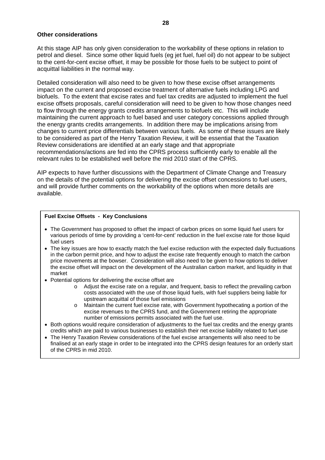#### <span id="page-27-0"></span>**Other considerations**

At this stage AIP has only given consideration to the workability of these options in relation to petrol and diesel. Since some other liquid fuels (eg jet fuel, fuel oil) do not appear to be subject to the cent-for-cent excise offset, it may be possible for those fuels to be subject to point of acquittal liabilities in the normal way.

Detailed consideration will also need to be given to how these excise offset arrangements impact on the current and proposed excise treatment of alternative fuels including LPG and biofuels. To the extent that excise rates and fuel tax credits are adjusted to implement the fuel excise offsets proposals, careful consideration will need to be given to how those changes need to flow through the energy grants credits arrangements to biofuels etc. This will include maintaining the current approach to fuel based and user category concessions applied through the energy grants credits arrangements. In addition there may be implications arising from changes to current price differentials between various fuels. As some of these issues are likely to be considered as part of the Henry Taxation Review, it will be essential that the Taxation Review considerations are identified at an early stage and that appropriate recommendations/actions are fed into the CPRS process sufficiently early to enable all the relevant rules to be established well before the mid 2010 start of the CPRS.

AIP expects to have further discussions with the Department of Climate Change and Treasury on the details of the potential options for delivering the excise offset concessions to fuel users, and will provide further comments on the workability of the options when more details are available.

#### **Fuel Excise Offsets - Key Conclusions**

- The Government has proposed to offset the impact of carbon prices on some liquid fuel users for various periods of time by providing a 'cent-for-cent' reduction in the fuel excise rate for those liquid fuel users
- The key issues are how to exactly match the fuel excise reduction with the expected daily fluctuations in the carbon permit price, and how to adjust the excise rate frequently enough to match the carbon price movements at the bowser. Consideration will also need to be given to how options to deliver the excise offset will impact on the development of the Australian carbon market, and liquidity in that market
- Potential options for delivering the excise offset are
	- o Adjust the excise rate on a regular, and frequent, basis to reflect the prevailing carbon costs associated with the use of those liquid fuels, with fuel suppliers being liable for upstream acquittal of those fuel emissions
	- o Maintain the current fuel excise rate, with Government hypothecating a portion of the excise revenues to the CPRS fund, and the Government retiring the appropriate number of emissions permits associated with the fuel use.
- Both options would require consideration of adjustments to the fuel tax credits and the energy grants credits which are paid to various businesses to establish their net excise liability related to fuel use
- The Henry Taxation Review considerations of the fuel excise arrangements will also need to be finalised at an early stage in order to be integrated into the CPRS design features for an orderly start of the CPRS in mid 2010.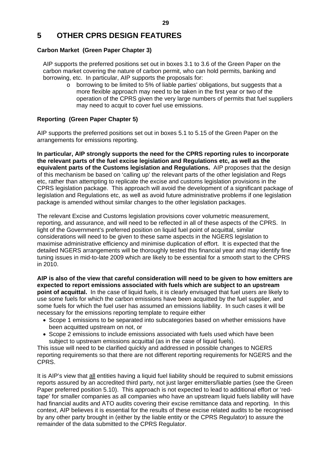# <span id="page-28-0"></span>**5 OTHER CPRS DESIGN FEATURES**

# **Carbon Market (Green Paper Chapter 3)**

AIP supports the preferred positions set out in boxes 3.1 to 3.6 of the Green Paper on the carbon market covering the nature of carbon permit, who can hold permits, banking and borrowing, etc. In particular, AIP supports the proposals for:

 $\circ$  borrowing to be limited to 5% of liable parties' obligations, but suggests that a more flexible approach may need to be taken in the first year or two of the operation of the CPRS given the very large numbers of permits that fuel suppliers may need to acquit to cover fuel use emissions.

# **Reporting (Green Paper Chapter 5)**

AIP supports the preferred positions set out in boxes 5.1 to 5.15 of the Green Paper on the arrangements for emissions reporting.

**In particular, AIP strongly supports the need for the CPRS reporting rules to incorporate the relevant parts of the fuel excise legislation and Regulations etc, as well as the equivalent parts of the Customs legislation and Regulations.** AIP proposes that the design of this mechanism be based on 'calling up' the relevant parts of the other legislation and Regs etc, rather than attempting to replicate the excise and customs legislation provisions in the CPRS legislation package. This approach will avoid the development of a significant package of legislation and Regulations etc, as well as avoid future administrative problems if one legislation package is amended without similar changes to the other legislation packages.

The relevant Excise and Customs legislation provisions cover volumetric measurement, reporting, and assurance, and will need to be reflected in all of these aspects of the CPRS. In light of the Government's preferred position on liquid fuel point of acquittal, similar considerations will need to be given to these same aspects in the NGERS legislation to maximise administrative efficiency and minimise duplication of effort. It is expected that the detailed NGERS arrangements will be thoroughly tested this financial year and may identify fine tuning issues in mid-to-late 2009 which are likely to be essential for a smooth start to the CPRS in 2010.

**AIP is also of the view that careful consideration will need to be given to how emitters are expected to report emissions associated with fuels which are subject to an upstream point of acquittal.** In the case of liquid fuels, it is clearly envisaged that fuel users are likely to use some fuels for which the carbon emissions have been acquitted by the fuel supplier, and some fuels for which the fuel user has assumed an emissions liability. In such cases it will be necessary for the emissions reporting template to require either

- Scope 1 emissions to be separated into subcategories based on whether emissions have been acquitted upstream on not, or
- Scope 2 emissions to include emissions associated with fuels used which have been subject to upstream emissions acquittal (as in the case of liquid fuels).

This issue will need to be clarified quickly and addressed in possible changes to NGERS reporting requirements so that there are not different reporting requirements for NGERS and the CPRS.

It is AIP's view that all entities having a liquid fuel liability should be required to submit emissions reports assured by an accredited third party, not just larger emitters/liable parties (see the Green Paper preferred position 5.10). This approach is not expected to lead to additional effort or 'redtape' for smaller companies as all companies who have an upstream liquid fuels liability will have had financial audits and ATO audits covering their excise remittance data and reporting. In this context, AIP believes it is essential for the results of these excise related audits to be recognised by any other party brought in (either by the liable entity or the CPRS Regulator) to assure the remainder of the data submitted to the CPRS Regulator.